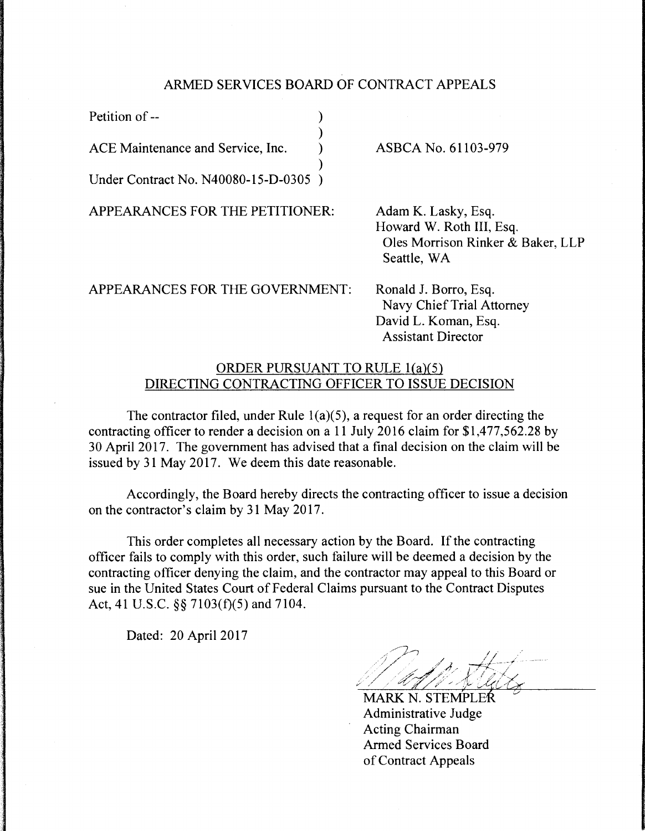## ARMED SERVICES BOARD OF CONTRACT APPEALS

)

)

Petition of --

ACE Maintenance and Service, Inc.

Under Contract No. N40080-15-D-0305 )

APPEARANCES FOR THE PETITIONER:

ASBCA No. 61103-979

Adam K. Lasky, Esq. Howard W. Roth III, Esq. Oles Morrison Rinker & Baker, LLP Seattle, WA

APPEARANCES FOR THE GOVERNMENT:

Ronald J. Borro, Esq. Navy Chief Trial Attorney David L. Koman, Esq. Assistant Director

## ORDER PURSUANT TO RULE 1(a)(5) DIRECTING CONTRACTING OFFICER TO ISSUE DECISION

The contractor filed, under Rule  $1(a)(5)$ , a request for an order directing the contracting officer to render a decision on a 11 July 2016 claim for  $$1,477,562.28$  by 30 April 2017. The government has advised that a final decision on the claim will be issued by 31May2017. We deem this date reasonable.

Accordingly, the Board hereby directs the contracting officer to issue a decision on the contractor's claim by 31 May 2017.

This order completes all necessary action by the Board. If the contracting officer fails to comply with this order, such failure will be deemed a decision by the contracting officer denying the claim, and the contractor may appeal to this Board or sue in the United States Court of Federal Claims pursuant to the Contract Disputes Act, 41 U.S.C. §§ 7103(f)(5) and 7104.

Dated: 20 April 2017

MARK N. STEMPLER Administrative Judge **Acting Chairman Armed Services Board** of Contract Appeals